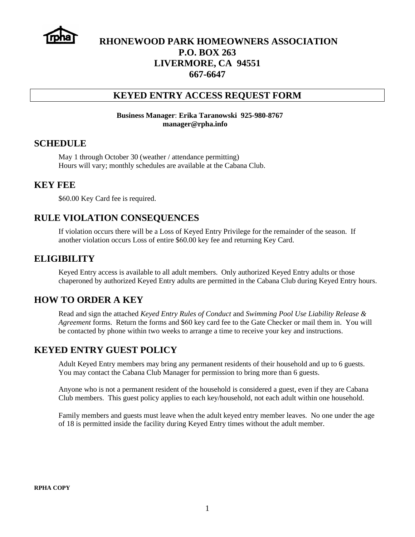

# **RHONEWOOD PARK HOMEOWNERS ASSOCIATION P.O. BOX 263 LIVERMORE, CA 94551 667-6647**

#### **KEYED ENTRY ACCESS REQUEST FORM**

#### **Business Manager**: **Erika Taranowski 925-980-8767 manager@rpha.info**

#### **SCHEDULE**

May 1 through October 30 (weather / attendance permitting) Hours will vary; monthly schedules are available at the Cabana Club.

#### **KEY FEE**

\$60.00 Key Card fee is required.

### **RULE VIOLATION CONSEQUENCES**

If violation occurs there will be a Loss of Keyed Entry Privilege for the remainder of the season. If another violation occurs Loss of entire \$60.00 key fee and returning Key Card.

### **ELIGIBILITY**

Keyed Entry access is available to all adult members. Only authorized Keyed Entry adults or those chaperoned by authorized Keyed Entry adults are permitted in the Cabana Club during Keyed Entry hours.

### **HOW TO ORDER A KEY**

Read and sign the attached *Keyed Entry Rules of Conduct* and *Swimming Pool Use Liability Release & Agreement* forms. Return the forms and \$60 key card fee to the Gate Checker or mail them in. You will be contacted by phone within two weeks to arrange a time to receive your key and instructions.

### **KEYED ENTRY GUEST POLICY**

Adult Keyed Entry members may bring any permanent residents of their household and up to 6 guests. You may contact the Cabana Club Manager for permission to bring more than 6 guests.

Anyone who is not a permanent resident of the household is considered a guest, even if they are Cabana Club members. This guest policy applies to each key/household, not each adult within one household.

Family members and guests must leave when the adult keyed entry member leaves. No one under the age of 18 is permitted inside the facility during Keyed Entry times without the adult member.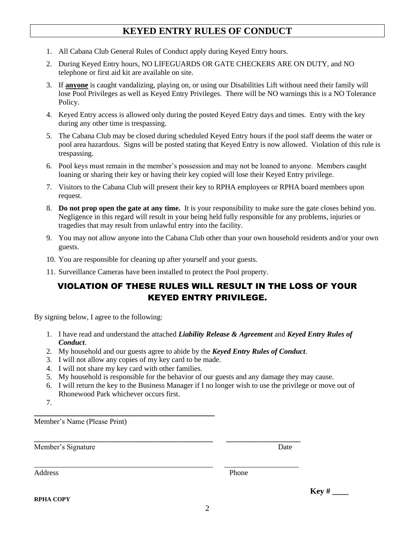# **KEYED ENTRY RULES OF CONDUCT**

- 1. All Cabana Club General Rules of Conduct apply during Keyed Entry hours.
- 2. During Keyed Entry hours, NO LIFEGUARDS OR GATE CHECKERS ARE ON DUTY, and NO telephone or first aid kit are available on site.
- 3. If **anyone** is caught vandalizing, playing on, or using our Disabilities Lift without need their family will lose Pool Privileges as well as Keyed Entry Privileges. There will be NO warnings this is a NO Tolerance Policy.
- 4. Keyed Entry access is allowed only during the posted Keyed Entry days and times. Entry with the key during any other time is trespassing.
- 5. The Cabana Club may be closed during scheduled Keyed Entry hours if the pool staff deems the water or pool area hazardous. Signs will be posted stating that Keyed Entry is now allowed. Violation of this rule is trespassing.
- 6. Pool keys must remain in the member's possession and may not be loaned to anyone. Members caught loaning or sharing their key or having their key copied will lose their Keyed Entry privilege.
- 7. Visitors to the Cabana Club will present their key to RPHA employees or RPHA board members upon request.
- 8. **Do not prop open the gate at any time.** It is your responsibility to make sure the gate closes behind you. Negligence in this regard will result in your being held fully responsible for any problems, injuries or tragedies that may result from unlawful entry into the facility.
- 9. You may not allow anyone into the Cabana Club other than your own household residents and/or your own guests.
- 10. You are responsible for cleaning up after yourself and your guests.
- 11. Surveillance Cameras have been installed to protect the Pool property.

## VIOLATION OF THESE RULES WILL RESULT IN THE LOSS OF YOUR KEYED ENTRY PRIVILEGE.

By signing below, I agree to the following:

- 1. I have read and understand the attached *Liability Release & Agreement* and *Keyed Entry Rules of Conduct*.
- 2. My household and our guests agree to abide by the *Keyed Entry Rules of Conduct*.

**\_\_\_\_\_\_\_\_\_\_\_\_\_\_\_\_\_\_\_\_\_\_\_\_\_\_\_\_\_\_\_\_\_\_\_\_\_\_\_\_\_\_\_\_\_\_\_\_ \_\_\_\_\_\_\_\_\_\_\_\_\_\_\_\_\_\_\_\_**

\_\_\_\_\_\_\_\_\_\_\_\_\_\_\_\_\_\_\_\_\_\_\_\_\_\_\_\_\_\_\_\_\_\_\_\_\_\_\_\_\_\_\_\_\_\_\_\_ \_\_\_\_\_\_\_\_\_\_\_\_\_\_\_\_\_\_\_\_

- 3. I will not allow any copies of my key card to be made.
- 4. I will not share my key card with other families.

**\_\_\_\_\_\_\_\_\_\_\_\_\_\_\_\_\_\_\_\_\_\_\_\_\_\_\_\_\_\_\_\_\_\_\_\_\_\_\_\_\_**

- 5. My household is responsible for the behavior of our guests and any damage they may cause.
- 6. I will return the key to the Business Manager if I no longer wish to use the privilege or move out of Rhonewood Park whichever occurs first.
- 7.

Member's Name (Please Print)

Member's Signature Date

Address Phone

**RPHA COPY**

**Key # \_\_\_\_**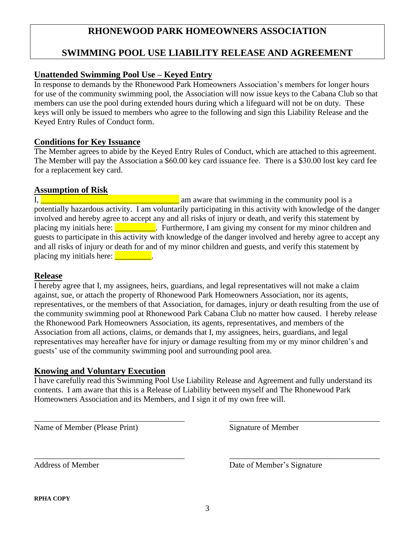# **RHONEWOOD PARK HOMEOWNERS ASSOCIATION**

# **SWIMMING POOL USE LIABILITY RELEASE AND AGREEMENT**

### **Unattended Swimming Pool Use – Keyed Entry**

In response to demands by the Rhonewood Park Homeowners Association's members for longer hours for use of the community swimming pool, the Association will now issue keys to the Cabana Club so that members can use the pool during extended hours during which a lifeguard will not be on duty. These keys will only be issued to members who agree to the following and sign this Liability Release and the Keyed Entry Rules of Conduct form.

### **Conditions for Key Issuance**

The Member agrees to abide by the Keyed Entry Rules of Conduct, which are attached to this agreement. The Member will pay the Association a \$60.00 key card issuance fee. There is a \$30.00 lost key card fee for a replacement key card.

### **Assumption of Risk**

I,  $\blacksquare$  am aware that swimming in the community pool is a potentially hazardous activity. I am voluntarily participating in this activity with knowledge of the danger involved and hereby agree to accept any and all risks of injury or death, and verify this statement by placing my initials here: Furthermore, I am giving my consent for my minor children and guests to participate in this activity with knowledge of the danger involved and hereby agree to accept any and all risks of injury or death for and of my minor children and guests, and verify this statement by placing my initials here:  $\blacksquare$ 

#### **Release**

I hereby agree that I, my assignees, heirs, guardians, and legal representatives will not make a claim against, sue, or attach the property of Rhonewood Park Homeowners Association, nor its agents, representatives, or the members of that Association, for damages, injury or death resulting from the use of the community swimming pool at Rhonewood Park Cabana Club no matter how caused. I hereby release the Rhonewood Park Homeowners Association, its agents, representatives, and members of the Association from all actions, claims, or demands that I, my assignees, heirs, guardians, and legal representatives may hereafter have for injury or damage resulting from my or my minor children's and guests' use of the community swimming pool and surrounding pool area.

### **Knowing and Voluntary Execution**

I have carefully read this Swimming Pool Use Liability Release and Agreement and fully understand its contents. I am aware that this is a Release of Liability between myself and The Rhonewood Park Homeowners Association and its Members, and I sign it of my own free will.

\_\_\_\_\_\_\_\_\_\_\_\_\_\_\_\_\_\_\_\_\_\_\_\_\_\_\_\_\_\_\_\_\_\_\_\_\_ \_\_\_\_\_\_\_\_\_\_\_\_\_\_\_\_\_\_\_\_\_\_\_\_\_\_\_\_\_\_\_\_\_\_\_\_\_

Name of Member (Please Print) Signature of Member

\_\_\_\_\_\_\_\_\_\_\_\_\_\_\_\_\_\_\_\_\_\_\_\_\_\_\_\_\_\_\_\_\_\_\_\_\_ \_\_\_\_\_\_\_\_\_\_\_\_\_\_\_\_\_\_\_\_\_\_\_\_\_\_\_\_\_\_\_\_\_\_\_\_\_ Address of Member Date of Member's Signature

**RPHA COPY**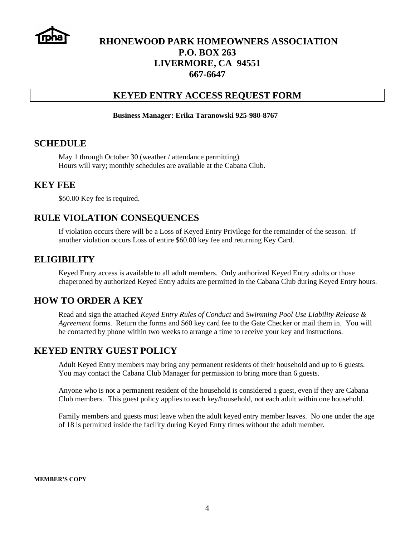

# **RHONEWOOD PARK HOMEOWNERS ASSOCIATION P.O. BOX 263 LIVERMORE, CA 94551 667-6647**

### **KEYED ENTRY ACCESS REQUEST FORM**

#### **Business Manager: Erika Taranowski 925-980-8767**

#### **SCHEDULE**

May 1 through October 30 (weather / attendance permitting) Hours will vary; monthly schedules are available at the Cabana Club.

#### **KEY FEE**

\$60.00 Key fee is required.

### **RULE VIOLATION CONSEQUENCES**

If violation occurs there will be a Loss of Keyed Entry Privilege for the remainder of the season. If another violation occurs Loss of entire \$60.00 key fee and returning Key Card.

#### **ELIGIBILITY**

Keyed Entry access is available to all adult members. Only authorized Keyed Entry adults or those chaperoned by authorized Keyed Entry adults are permitted in the Cabana Club during Keyed Entry hours.

### **HOW TO ORDER A KEY**

Read and sign the attached *Keyed Entry Rules of Conduct* and *Swimming Pool Use Liability Release & Agreement* forms. Return the forms and \$60 key card fee to the Gate Checker or mail them in. You will be contacted by phone within two weeks to arrange a time to receive your key and instructions.

### **KEYED ENTRY GUEST POLICY**

Adult Keyed Entry members may bring any permanent residents of their household and up to 6 guests. You may contact the Cabana Club Manager for permission to bring more than 6 guests.

Anyone who is not a permanent resident of the household is considered a guest, even if they are Cabana Club members. This guest policy applies to each key/household, not each adult within one household.

Family members and guests must leave when the adult keyed entry member leaves. No one under the age of 18 is permitted inside the facility during Keyed Entry times without the adult member.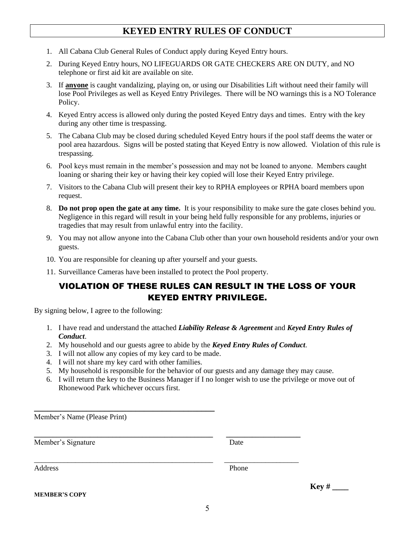# **KEYED ENTRY RULES OF CONDUCT**

- 1. All Cabana Club General Rules of Conduct apply during Keyed Entry hours.
- 2. During Keyed Entry hours, NO LIFEGUARDS OR GATE CHECKERS ARE ON DUTY, and NO telephone or first aid kit are available on site.
- 3. If **anyone** is caught vandalizing, playing on, or using our Disabilities Lift without need their family will lose Pool Privileges as well as Keyed Entry Privileges. There will be NO warnings this is a NO Tolerance Policy.
- 4. Keyed Entry access is allowed only during the posted Keyed Entry days and times. Entry with the key during any other time is trespassing.
- 5. The Cabana Club may be closed during scheduled Keyed Entry hours if the pool staff deems the water or pool area hazardous. Signs will be posted stating that Keyed Entry is now allowed. Violation of this rule is trespassing.
- 6. Pool keys must remain in the member's possession and may not be loaned to anyone. Members caught loaning or sharing their key or having their key copied will lose their Keyed Entry privilege.
- 7. Visitors to the Cabana Club will present their key to RPHA employees or RPHA board members upon request.
- 8. **Do not prop open the gate at any time.** It is your responsibility to make sure the gate closes behind you. Negligence in this regard will result in your being held fully responsible for any problems, injuries or tragedies that may result from unlawful entry into the facility.
- 9. You may not allow anyone into the Cabana Club other than your own household residents and/or your own guests.
- 10. You are responsible for cleaning up after yourself and your guests.
- 11. Surveillance Cameras have been installed to protect the Pool property.

## VIOLATION OF THESE RULES CAN RESULT IN THE LOSS OF YOUR KEYED ENTRY PRIVILEGE.

By signing below, I agree to the following:

- 1. I have read and understand the attached *Liability Release & Agreement* and *Keyed Entry Rules of Conduct*.
- 2. My household and our guests agree to abide by the *Keyed Entry Rules of Conduct*.
- 3. I will not allow any copies of my key card to be made.
- 4. I will not share my key card with other families.
- 5. My household is responsible for the behavior of our guests and any damage they may cause.
- 6. I will return the key to the Business Manager if I no longer wish to use the privilege or move out of Rhonewood Park whichever occurs first.

| Member's Name (Please Print) |       |      |
|------------------------------|-------|------|
| Member's Signature           | Date  |      |
| Address                      | Phone |      |
| <b>MEMBER'S COPY</b>         |       | Key# |